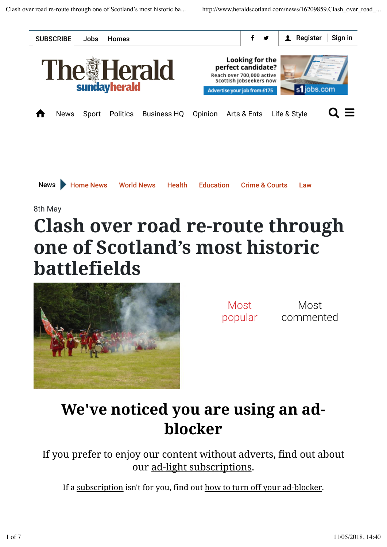

## **Clash over road re-route through one of Scotland's most historic battlefields**



Most popular

Most commented

## **We've noticed you are using an adblocker**

If you prefer to enjoy our content without adverts, find out about our ad-light subscriptions.

If a subscription isn't for you, find out how to turn off your ad-blocker.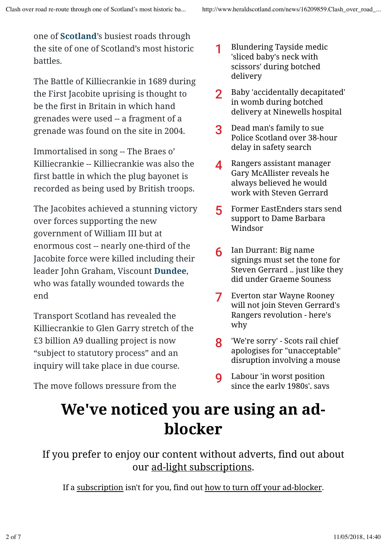one of **Scotland**'s busiest roads through the site of one of Scotland's most historic battles.

The Battle of Killiecrankie in 1689 during the First Jacobite uprising is thought to be the first in Britain in which hand grenades were used -- a fragment of a grenade was found on the site in 2004.

Immortalised in song -- The Braes o' Killiecrankie -- Killiecrankie was also the first battle in which the plug bayonet is recorded as being used by British troops.

The Jacobites achieved a stunning victory over forces supporting the new government of William III but at enormous cost -- nearly one-third of the Jacobite force were killed including their leader John Graham, Viscount **Dundee**, who was fatally wounded towards the end

Transport Scotland has revealed the Killiecrankie to Glen Garry stretch of the £3 billion A9 dualling project is now "subject to statutory process" and an inquiry will take place in due course.

The move follows pressure from the

- Blundering Tayside medic 'sliced baby's neck with scissors' during botched delivery 1
- Baby 'accidentally decapitated' in womb during botched delivery at Ninewells hospital 2
- Dead man's family to sue Police Scotland over 38-hour delay in safety search 3
- Rangers assistant manager Gary McAllister reveals he always believed he would work with Steven Gerrard  $\blacktriangle$
- Former EastEnders stars send support to Dame Barbara Windsor 5
- Ian Durrant: Big name signings must set the tone for Steven Gerrard .. just like they did under Graeme Souness 6
- Everton star Wayne Rooney will not join Steven Gerrard's Rangers revolution - here's why 7
- 'We're sorry' Scots rail chief apologises for "unacceptable" disruption involving a mouse 8
- Labour 'in worst position since the early 1980s', says  $\mathbf Q$

## **We've noticed you are using an adblocker**

If you prefer to enjoy our content without adverts, find out about our ad-light subscriptions.

If a subscription isn't for you, find out how to turn off your ad-blocker.